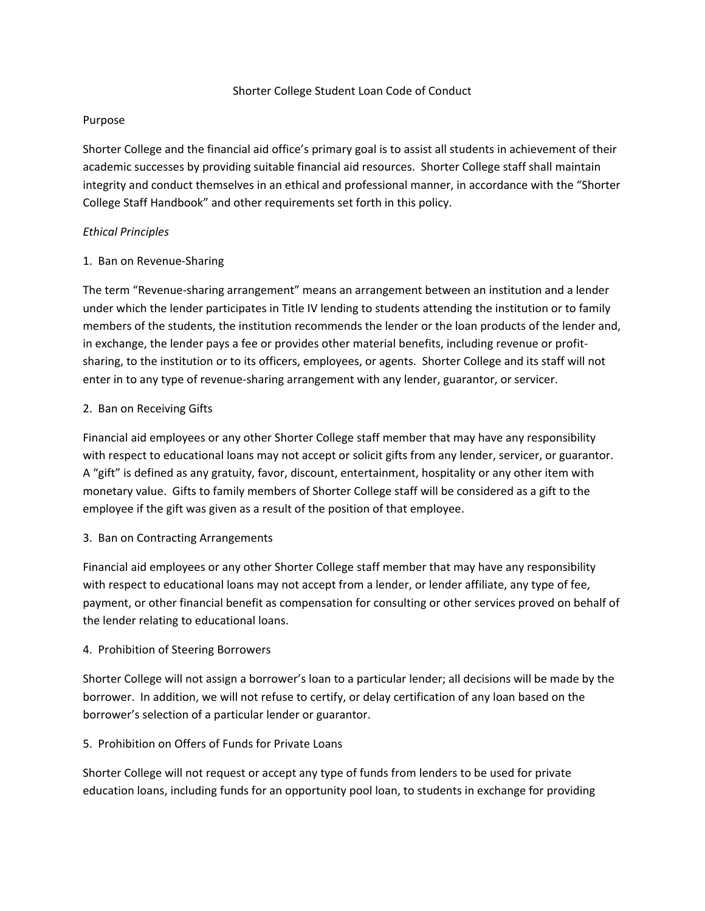#### Shorter College Student Loan Code of Conduct

### Purpose

Shorter College and the financial aid office's primary goal is to assist all students in achievement of their academic successes by providing suitable financial aid resources. Shorter College staff shall maintain integrity and conduct themselves in an ethical and professional manner, in accordance with the "Shorter College Staff Handbook" and other requirements set forth in this policy.

### *Ethical Principles*

### 1. Ban on Revenue‐Sharing

The term "Revenue‐sharing arrangement" means an arrangement between an institution and a lender under which the lender participates in Title IV lending to students attending the institution or to family members of the students, the institution recommends the lender or the loan products of the lender and, in exchange, the lender pays a fee or provides other material benefits, including revenue or profitsharing, to the institution or to its officers, employees, or agents. Shorter College and its staff will not enter in to any type of revenue-sharing arrangement with any lender, guarantor, or servicer.

## 2. Ban on Receiving Gifts

Financial aid employees or any other Shorter College staff member that may have any responsibility with respect to educational loans may not accept or solicit gifts from any lender, servicer, or guarantor. A "gift" is defined as any gratuity, favor, discount, entertainment, hospitality or any other item with monetary value. Gifts to family members of Shorter College staff will be considered as a gift to the employee if the gift was given as a result of the position of that employee.

### 3. Ban on Contracting Arrangements

Financial aid employees or any other Shorter College staff member that may have any responsibility with respect to educational loans may not accept from a lender, or lender affiliate, any type of fee, payment, or other financial benefit as compensation for consulting or other services proved on behalf of the lender relating to educational loans.

### 4. Prohibition of Steering Borrowers

Shorter College will not assign a borrower's loan to a particular lender; all decisions will be made by the borrower. In addition, we will not refuse to certify, or delay certification of any loan based on the borrower's selection of a particular lender or guarantor.

# 5. Prohibition on Offers of Funds for Private Loans

Shorter College will not request or accept any type of funds from lenders to be used for private education loans, including funds for an opportunity pool loan, to students in exchange for providing